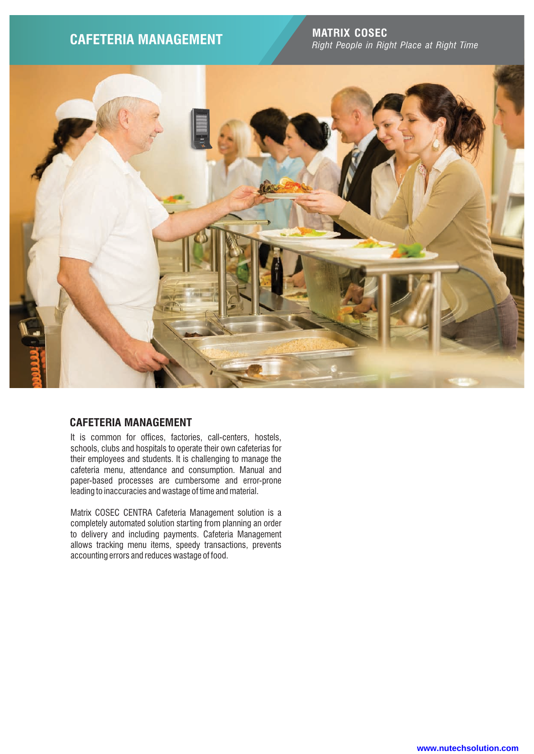**MATRIX COSEC CAFETERIA MANAGEMENT** *Right People in Right Place at Right Time*



# **CAFETERIA MANAGEMENT**

It is common for offices, factories, call-centers, hostels, schools, clubs and hospitals to operate their own cafeterias for their employees and students. It is challenging to manage the cafeteria menu, attendance and consumption. Manual and paper-based processes are cumbersome and error-prone leading to inaccuracies and wastage of time and material.

Matrix COSEC CENTRA Cafeteria Management solution is a completely automated solution starting from planning an order to delivery and including payments. Cafeteria Management allows tracking menu items, speedy transactions, prevents accounting errors and reduces wastage of food.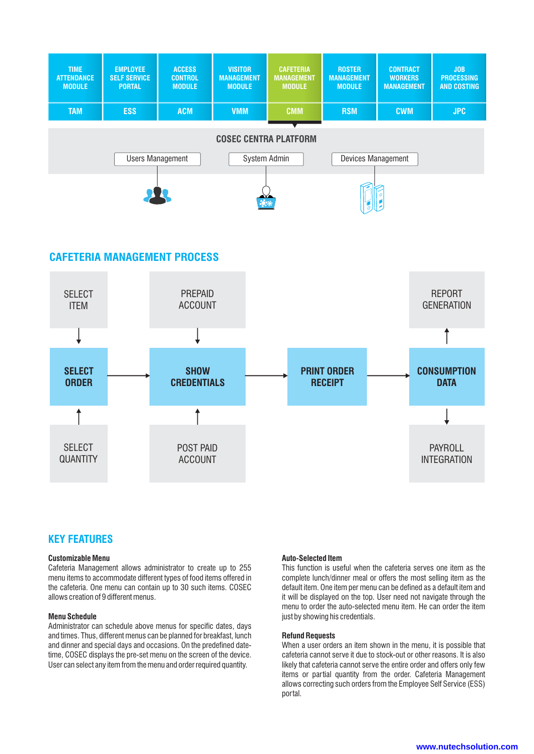

## **CAFETERIA MANAGEMENT PROCESS**



## **KEY FEATURES**

## **Customizable Menu**

Cafeteria Management allows administrator to create up to 255 menu items to accommodate different types of food items offered in the cafeteria. One menu can contain up to 30 such items. COSEC allows creation of 9 different menus.

### **Menu Schedule**

Administrator can schedule above menus for specific dates, days and times. Thus, different menus can be planned for breakfast, lunch and dinner and special days and occasions. On the predefined datetime, COSEC displays the pre-set menu on the screen of the device. User can select any item from the menu and order required quantity.

### **Auto-Selected Item**

This function is useful when the cafeteria serves one item as the complete lunch/dinner meal or offers the most selling item as the default item. One item per menu can be defined as a default item and it will be displayed on the top. User need not navigate through the menu to order the auto-selected menu item. He can order the item just by showing his credentials.

#### **Refund Requests**

When a user orders an item shown in the menu, it is possible that cafeteria cannot serve it due to stock-out or other reasons. It is also likely that cafeteria cannot serve the entire order and offers only few items or partial quantity from the order. Cafeteria Management allows correcting such orders from the Employee Self Service (ESS) portal.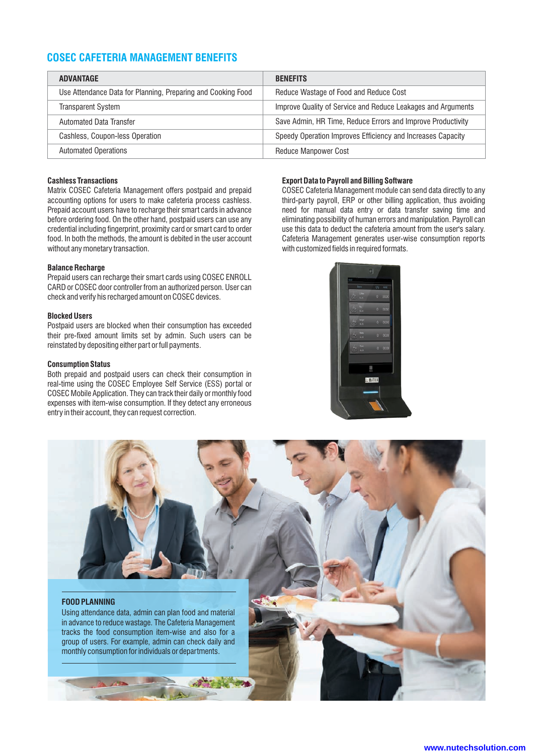# **COSEC CAFETERIA MANAGEMENT BENEFITS**

| <b>ADVANTAGE</b>                                             | <b>BENEFITS</b>                                              |
|--------------------------------------------------------------|--------------------------------------------------------------|
| Use Attendance Data for Planning, Preparing and Cooking Food | Reduce Wastage of Food and Reduce Cost                       |
| <b>Transparent System</b>                                    | Improve Quality of Service and Reduce Leakages and Arguments |
| <b>Automated Data Transfer</b>                               | Save Admin, HR Time, Reduce Errors and Improve Productivity  |
| Cashless, Coupon-less Operation                              | Speedy Operation Improves Efficiency and Increases Capacity  |
| <b>Automated Operations</b>                                  | <b>Reduce Manpower Cost</b>                                  |

### **Cashless Transactions**

Matrix COSEC Cafeteria Management offers postpaid and prepaid accounting options for users to make cafeteria process cashless. Prepaid account users have to recharge their smart cards in advance before ordering food. On the other hand, postpaid users can use any credential including fingerprint, proximity card or smart card to order food. In both the methods, the amount is debited in the user account without any monetary transaction.

#### **Balance Recharge**

Prepaid users can recharge their smart cards using COSEC ENROLL CARD or COSEC door controller from an authorized person. User can check and verify his recharged amount on COSEC devices.

#### **Blocked Users**

Postpaid users are blocked when their consumption has exceeded their pre-fixed amount limits set by admin. Such users can be reinstated by depositing either part or full payments.

#### **Consumption Status**

Both prepaid and postpaid users can check their consumption in real-time using the COSEC Employee Self Service (ESS) portal or COSEC Mobile Application. They can track their daily or monthly food expenses with item-wise consumption. If they detect any erroneous entry in their account, they can request correction.

### **Export Data to Payroll and Billing Software**

COSEC Cafeteria Management module can send data directly to any third-party payroll, ERP or other billing application, thus avoiding need for manual data entry or data transfer saving time and eliminating possibility of human errors and manipulation. Payroll can use this data to deduct the cafeteria amount from the user's salary. Cafeteria Management generates user-wise consumption reports with customized fields in required formats.